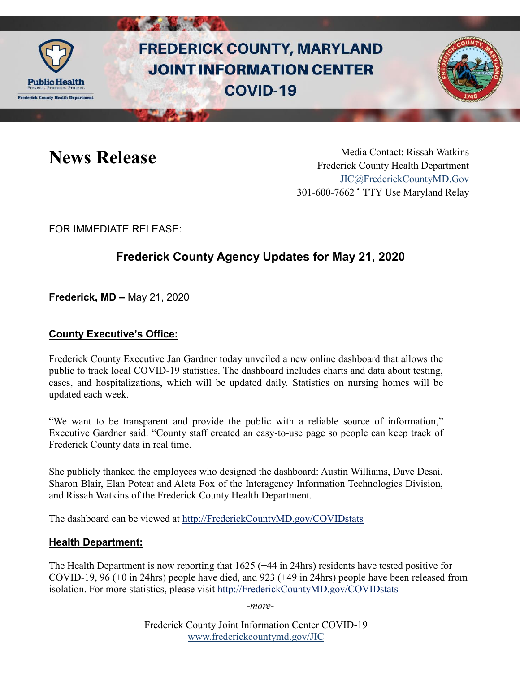

# **FREDERICK COUNTY, MARYLAND JOINT INFORMATION CENTER COVID-19**



News Release Media Contact: Rissah Watkins Frederick County Health Department [JIC@FrederickCountyMD.Gov](mailto:JIC@FrederickCountyMD.Gov) 301-600-7662 • TTY Use Maryland Relay

FOR IMMEDIATE RELEASE:

# **Frederick County Agency Updates for May 21, 2020**

**Frederick, MD –** May 21, 2020

## **County Executive's Office:**

Frederick County Executive Jan Gardner today unveiled a new online dashboard that allows the public to track local COVID-19 statistics. The dashboard includes charts and data about testing, cases, and hospitalizations, which will be updated daily. Statistics on nursing homes will be updated each week.

"We want to be transparent and provide the public with a reliable source of information," Executive Gardner said. "County staff created an easy-to-use page so people can keep track of Frederick County data in real time.

She publicly thanked the employees who designed the dashboard: Austin Williams, Dave Desai, Sharon Blair, Elan Poteat and Aleta Fox of the Interagency Information Technologies Division, and Rissah Watkins of the Frederick County Health Department.

The dashboard can be viewed at [http://FrederickCountyMD.gov/COVIDstats](http://frederickcountymd.gov/COVIDstats)

#### **Health Department:**

The Health Department is now reporting that 1625 (+44 in 24hrs) residents have tested positive for COVID-19, 96 (+0 in 24hrs) people have died, and 923 (+49 in 24hrs) people have been released from isolation. For more statistics, please visit [http://FrederickCountyMD.gov/COVIDstats](http://frederickcountymd.gov/COVIDstats)

*-more-*

Frederick County Joint Information Center COVID-19 [www.frederickcountymd.gov/JIC](https://frederickcountymd.gov/JIC)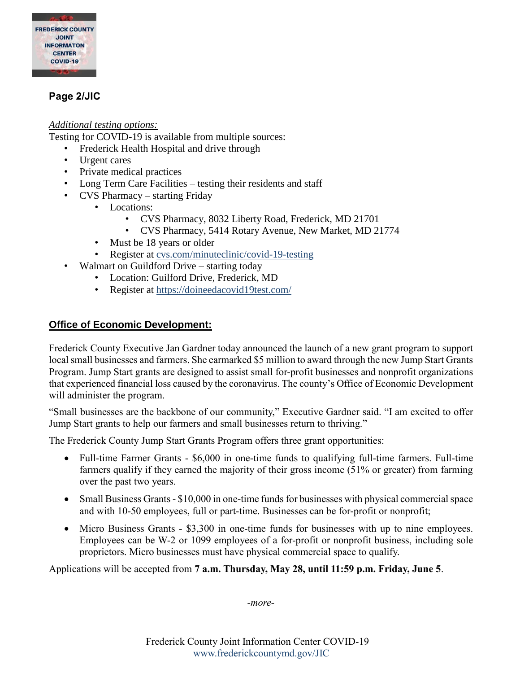

# **Page 2/JIC**

#### *Additional testing options:*

Testing for COVID-19 is available from multiple sources:

- Frederick Health Hospital and drive through
- Urgent cares
- Private medical practices
- Long Term Care Facilities testing their residents and staff
- CVS Pharmacy starting Friday
	- Locations:
		- CVS Pharmacy, 8032 Liberty Road, Frederick, MD 21701
		- CVS Pharmacy, 5414 Rotary Avenue, New Market, MD 21774
	- Must be 18 years or older
	- Register at [cvs.com/minuteclinic/covid-19-testing](https://www.cvs.com/minuteclinic/covid-19-testing)
- Walmart on Guildford Drive starting today
	- Location: Guilford Drive, Frederick, MD
	- Register at<https://doineedacovid19test.com/>

#### **Office of Economic Development:**

Frederick County Executive Jan Gardner today announced the launch of a new grant program to support local small businesses and farmers. She earmarked \$5 million to award through the new Jump Start Grants Program. Jump Start grants are designed to assist small for-profit businesses and nonprofit organizations that experienced financial loss caused by the coronavirus. The county's Office of Economic Development will administer the program.

"Small businesses are the backbone of our community," Executive Gardner said. "I am excited to offer Jump Start grants to help our farmers and small businesses return to thriving."

The Frederick County Jump Start Grants Program offers three grant opportunities:

- Full-time Farmer Grants \$6,000 in one-time funds to qualifying full-time farmers. Full-time farmers qualify if they earned the majority of their gross income (51% or greater) from farming over the past two years.
- Small Business Grants \$10,000 in one-time funds for businesses with physical commercial space and with 10-50 employees, full or part-time. Businesses can be for-profit or nonprofit;
- Micro Business Grants \$3,300 in one-time funds for businesses with up to nine employees. Employees can be W-2 or 1099 employees of a for-profit or nonprofit business, including sole proprietors. Micro businesses must have physical commercial space to qualify.

Applications will be accepted from **7 a.m. Thursday, May 28, until 11:59 p.m. Friday, June 5**.

*-more-*